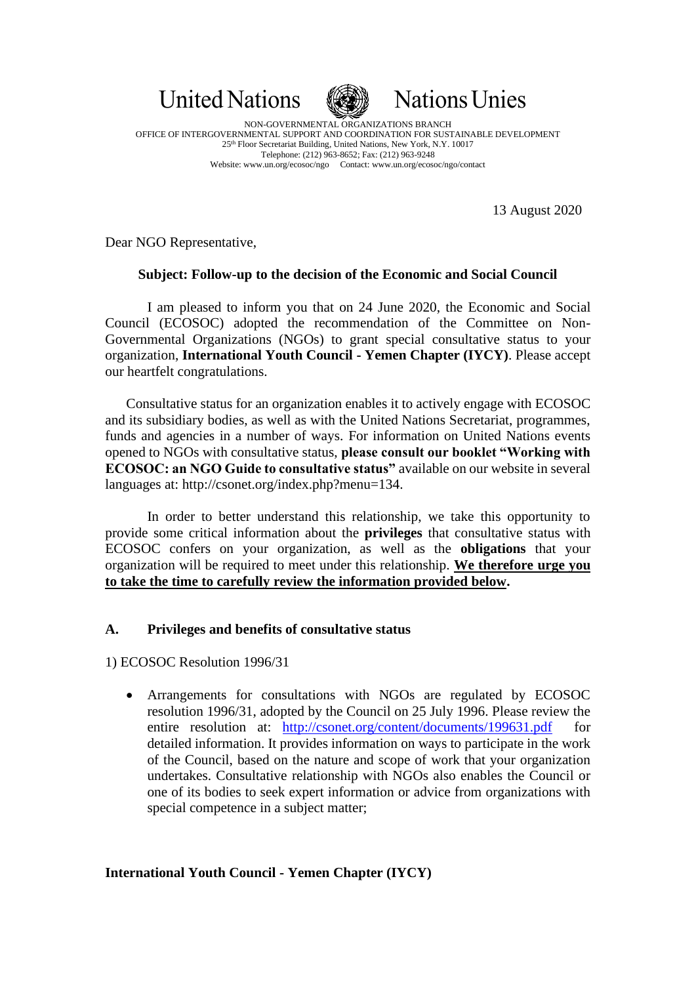



NON-GOVERNMENTAL ORGANIZATIONS BRANCH OFFICE OF INTERGOVERNMENTAL SUPPORT AND COORDINATION FOR SUSTAINABLE DEVELOPMENT 25th Floor Secretariat Building, United Nations, New York, N.Y. 10017 Telephone: (212) 963-8652; Fax: (212) 963-9248 Website: www.un.org/ecosoc/ngo Contact: www.un.org/ecosoc/ngo/contact

13 August 2020

Dear NGO Representative,

# **Subject: Follow-up to the decision of the Economic and Social Council**

I am pleased to inform you that on 24 June 2020, the Economic and Social Council (ECOSOC) adopted the recommendation of the Committee on Non-Governmental Organizations (NGOs) to grant special consultative status to your organization, **International Youth Council - Yemen Chapter (IYCY)**. Please accept our heartfelt congratulations.

Consultative status for an organization enables it to actively engage with ECOSOC and its subsidiary bodies, as well as with the United Nations Secretariat, programmes, funds and agencies in a number of ways. For information on United Nations events opened to NGOs with consultative status, **please consult our booklet "Working with ECOSOC: an NGO Guide to consultative status"** available on our website in several languages at: http://csonet.org/index.php?menu=134.

In order to better understand this relationship, we take this opportunity to provide some critical information about the **privileges** that consultative status with ECOSOC confers on your organization, as well as the **obligations** that your organization will be required to meet under this relationship. **We therefore urge you to take the time to carefully review the information provided below.**

# **A. Privileges and benefits of consultative status**

1) ECOSOC Resolution 1996/31

• Arrangements for consultations with NGOs are regulated by ECOSOC resolution 1996/31, adopted by the Council on 25 July 1996. Please review the entire resolution at: http://csonet.org/content/documents/199631.pdf detailed information. It provides information on ways to participate in the work of the Council, based on the nature and scope of work that your organization undertakes. Consultative relationship with NGOs also enables the Council or one of its bodies to seek expert information or advice from organizations with special competence in a subject matter;

# **International Youth Council - Yemen Chapter (IYCY)**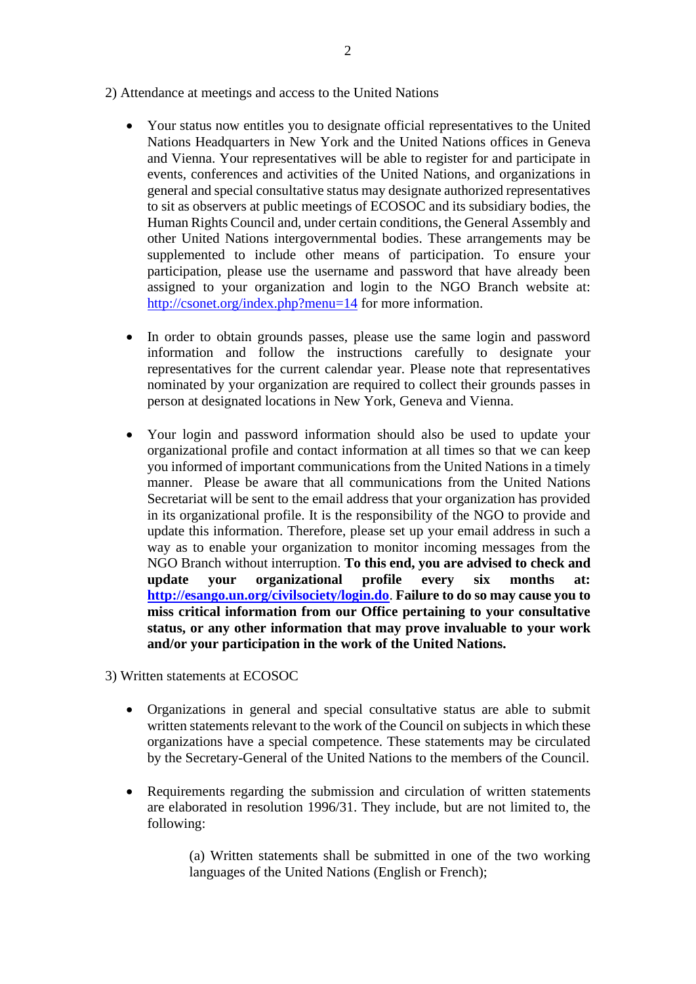- 2) Attendance at meetings and access to the United Nations
	- Your status now entitles you to designate official representatives to the United Nations Headquarters in New York and the United Nations offices in Geneva and Vienna. Your representatives will be able to register for and participate in events, conferences and activities of the United Nations, and organizations in general and special consultative status may designate authorized representatives to sit as observers at public meetings of ECOSOC and its subsidiary bodies, the Human Rights Council and, under certain conditions, the General Assembly and other United Nations intergovernmental bodies. These arrangements may be supplemented to include other means of participation. To ensure your participation, please use the username and password that have already been assigned to your organization and login to the NGO Branch website at: <http://csonet.org/index.php?menu=14> for more information.
	- In order to obtain grounds passes, please use the same login and password information and follow the instructions carefully to designate your representatives for the current calendar year. Please note that representatives nominated by your organization are required to collect their grounds passes in person at designated locations in New York, Geneva and Vienna.
	- Your login and password information should also be used to update your organizational profile and contact information at all times so that we can keep you informed of important communications from the United Nations in a timely manner. Please be aware that all communications from the United Nations Secretariat will be sent to the email address that your organization has provided in its organizational profile. It is the responsibility of the NGO to provide and update this information. Therefore, please set up your email address in such a way as to enable your organization to monitor incoming messages from the NGO Branch without interruption. **To this end, you are advised to check and update your organizational profile every six months at: <http://esango.un.org/civilsociety/login.do>**. **Failure to do so may cause you to miss critical information from our Office pertaining to your consultative status, or any other information that may prove invaluable to your work and/or your participation in the work of the United Nations.**
- 3) Written statements at ECOSOC
	- Organizations in general and special consultative status are able to submit written statements relevant to the work of the Council on subjects in which these organizations have a special competence. These statements may be circulated by the Secretary-General of the United Nations to the members of the Council.
	- Requirements regarding the submission and circulation of written statements are elaborated in resolution 1996/31. They include, but are not limited to, the following:

(a) Written statements shall be submitted in one of the two working languages of the United Nations (English or French);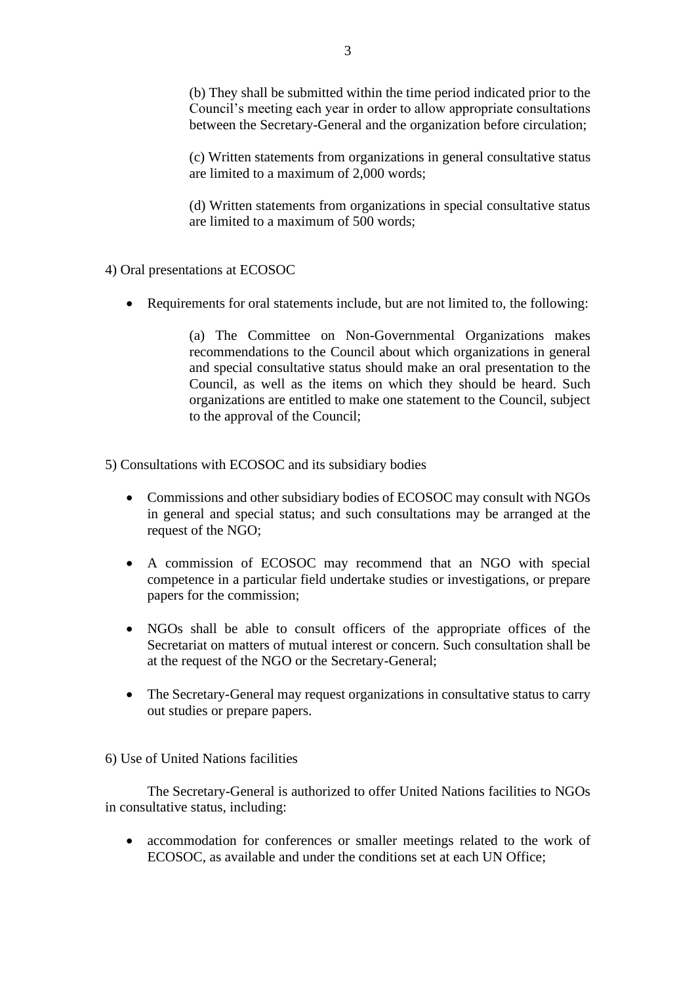(b) They shall be submitted within the time period indicated prior to the Council's meeting each year in order to allow appropriate consultations between the Secretary-General and the organization before circulation;

(c) Written statements from organizations in general consultative status are limited to a maximum of 2,000 words;

(d) Written statements from organizations in special consultative status are limited to a maximum of 500 words;

- 4) Oral presentations at ECOSOC
	- Requirements for oral statements include, but are not limited to, the following:

(a) The Committee on Non-Governmental Organizations makes recommendations to the Council about which organizations in general and special consultative status should make an oral presentation to the Council, as well as the items on which they should be heard. Such organizations are entitled to make one statement to the Council, subject to the approval of the Council;

5) Consultations with ECOSOC and its subsidiary bodies

- Commissions and other subsidiary bodies of ECOSOC may consult with NGOs in general and special status; and such consultations may be arranged at the request of the NGO;
- A commission of ECOSOC may recommend that an NGO with special competence in a particular field undertake studies or investigations, or prepare papers for the commission;
- NGOs shall be able to consult officers of the appropriate offices of the Secretariat on matters of mutual interest or concern. Such consultation shall be at the request of the NGO or the Secretary-General;
- The Secretary-General may request organizations in consultative status to carry out studies or prepare papers.

### 6) Use of United Nations facilities

The Secretary-General is authorized to offer United Nations facilities to NGOs in consultative status, including:

• accommodation for conferences or smaller meetings related to the work of ECOSOC, as available and under the conditions set at each UN Office;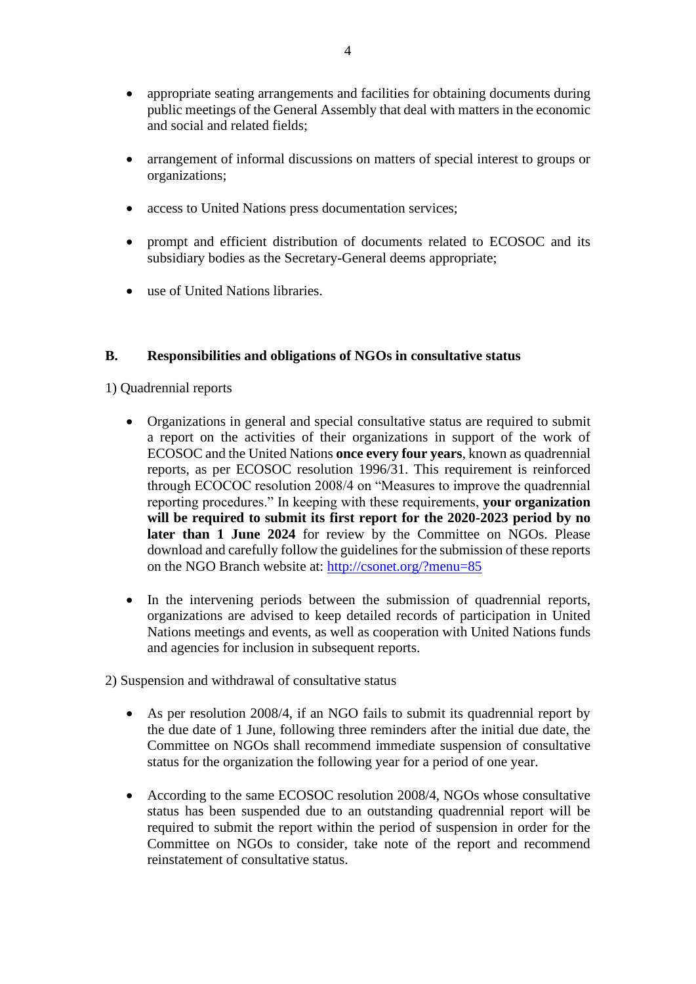- appropriate seating arrangements and facilities for obtaining documents during public meetings of the General Assembly that deal with matters in the economic and social and related fields;
- arrangement of informal discussions on matters of special interest to groups or organizations;
- access to United Nations press documentation services;
- prompt and efficient distribution of documents related to ECOSOC and its subsidiary bodies as the Secretary-General deems appropriate;
- use of United Nations libraries.

# **B. Responsibilities and obligations of NGOs in consultative status**

1) Quadrennial reports

- Organizations in general and special consultative status are required to submit a report on the activities of their organizations in support of the work of ECOSOC and the United Nations **once every four years**, known as quadrennial reports, as per ECOSOC resolution 1996/31. This requirement is reinforced through ECOCOC resolution 2008/4 on "Measures to improve the quadrennial reporting procedures." In keeping with these requirements, **your organization will be required to submit its first report for the 2020-2023 period by no**  later than 1 June 2024 for review by the Committee on NGOs. Please download and carefully follow the guidelines for the submission of these reports on the NGO Branch website at:<http://csonet.org/?menu=85>
- In the intervening periods between the submission of quadrennial reports, organizations are advised to keep detailed records of participation in United Nations meetings and events, as well as cooperation with United Nations funds and agencies for inclusion in subsequent reports.
- 2) Suspension and withdrawal of consultative status
	- As per resolution 2008/4, if an NGO fails to submit its quadrennial report by the due date of 1 June, following three reminders after the initial due date, the Committee on NGOs shall recommend immediate suspension of consultative status for the organization the following year for a period of one year.
	- According to the same ECOSOC resolution 2008/4, NGOs whose consultative status has been suspended due to an outstanding quadrennial report will be required to submit the report within the period of suspension in order for the Committee on NGOs to consider, take note of the report and recommend reinstatement of consultative status.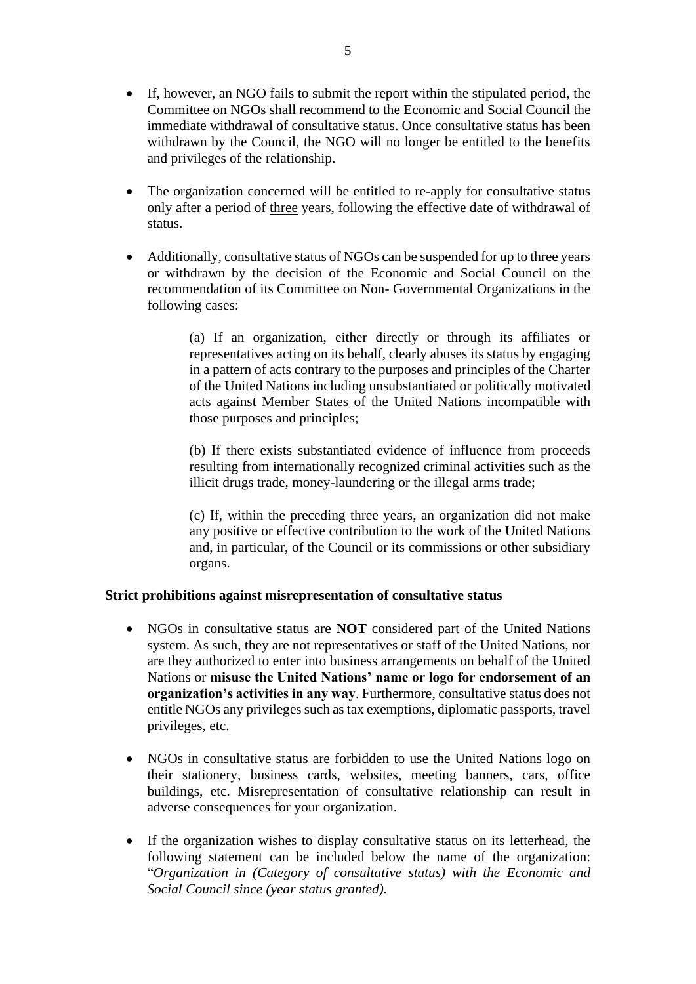- If, however, an NGO fails to submit the report within the stipulated period, the Committee on NGOs shall recommend to the Economic and Social Council the immediate withdrawal of consultative status. Once consultative status has been withdrawn by the Council, the NGO will no longer be entitled to the benefits and privileges of the relationship.
- The organization concerned will be entitled to re-apply for consultative status only after a period of three years, following the effective date of withdrawal of status.
- Additionally, consultative status of NGOs can be suspended for up to three years or withdrawn by the decision of the Economic and Social Council on the recommendation of its Committee on Non- Governmental Organizations in the following cases:

(a) If an organization, either directly or through its affiliates or representatives acting on its behalf, clearly abuses its status by engaging in a pattern of acts contrary to the purposes and principles of the Charter of the United Nations including unsubstantiated or politically motivated acts against Member States of the United Nations incompatible with those purposes and principles;

(b) If there exists substantiated evidence of influence from proceeds resulting from internationally recognized criminal activities such as the illicit drugs trade, money-laundering or the illegal arms trade;

(c) If, within the preceding three years, an organization did not make any positive or effective contribution to the work of the United Nations and, in particular, of the Council or its commissions or other subsidiary organs.

# **Strict prohibitions against misrepresentation of consultative status**

- NGOs in consultative status are **NOT** considered part of the United Nations system. As such, they are not representatives or staff of the United Nations, nor are they authorized to enter into business arrangements on behalf of the United Nations or **misuse the United Nations' name or logo for endorsement of an organization's activities in any way**. Furthermore, consultative status does not entitle NGOs any privileges such as tax exemptions, diplomatic passports, travel privileges, etc.
- NGOs in consultative status are forbidden to use the United Nations logo on their stationery, business cards, websites, meeting banners, cars, office buildings, etc. Misrepresentation of consultative relationship can result in adverse consequences for your organization.
- If the organization wishes to display consultative status on its letterhead, the following statement can be included below the name of the organization: "*Organization in (Category of consultative status) with the Economic and Social Council since (year status granted).*